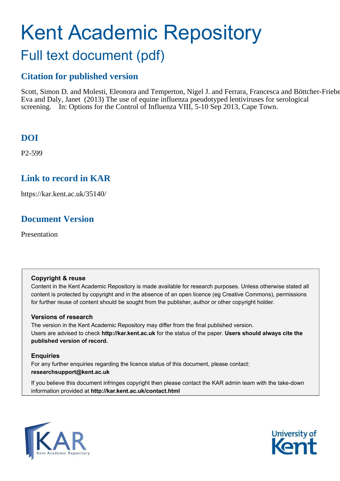## Kent Academic Repository Full text document (pdf)

#### **Citation for published version**

Scott, Simon D. and Molesti, Eleonora and Temperton, Nigel J. and Ferrara, Francesca and Böttcher-Frieber Eva and Daly, Janet (2013) The use of equine influenza pseudotyped lentiviruses for serological screening. In: Options for the Control of Influenza VIII, 5-10 Sep 2013, Cape Town.

#### **DOI**

P2-599

#### **Link to record in KAR**

https://kar.kent.ac.uk/35140/

#### **Document Version**

Presentation

#### **Copyright & reuse**

Content in the Kent Academic Repository is made available for research purposes. Unless otherwise stated all content is protected by copyright and in the absence of an open licence (eg Creative Commons), permissions for further reuse of content should be sought from the publisher, author or other copyright holder.

#### **Versions of research**

The version in the Kent Academic Repository may differ from the final published version. Users are advised to check **http://kar.kent.ac.uk** for the status of the paper. **Users should always cite the published version of record.**

#### **Enquiries**

For any further enquiries regarding the licence status of this document, please contact: **researchsupport@kent.ac.uk**

If you believe this document infringes copyright then please contact the KAR admin team with the take-down information provided at **http://kar.kent.ac.uk/contact.html**